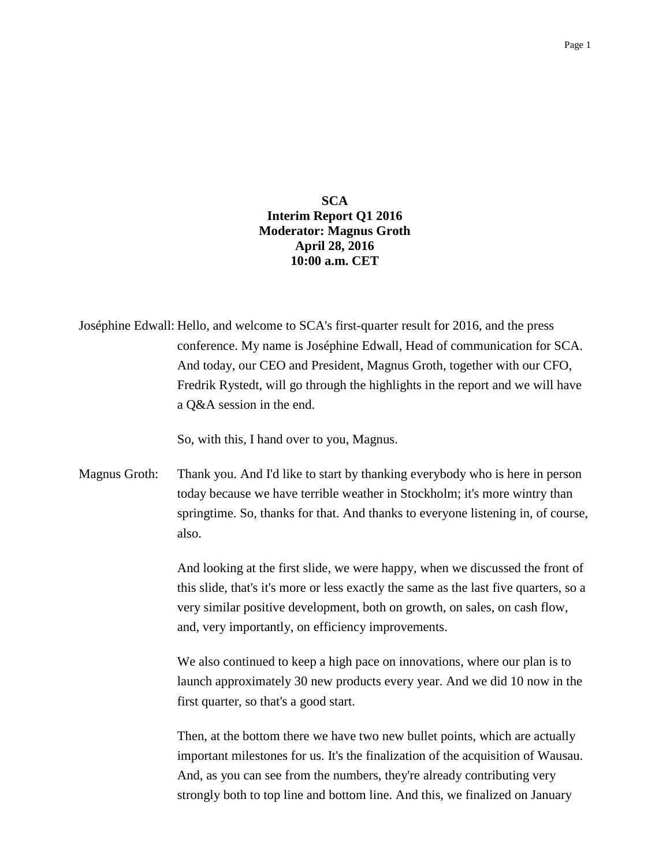## **SCA Interim Report Q1 2016 Moderator: Magnus Groth April 28, 2016 10:00 a.m. CET**

| Joséphine Edwall: Hello, and welcome to SCA's first-quarter result for 2016, and the press |
|--------------------------------------------------------------------------------------------|
| conference. My name is Joséphine Edwall, Head of communication for SCA.                    |
| And today, our CEO and President, Magnus Groth, together with our CFO,                     |
| Fredrik Rystedt, will go through the highlights in the report and we will have             |
| a Q&A session in the end.                                                                  |

So, with this, I hand over to you, Magnus.

Magnus Groth: Thank you. And I'd like to start by thanking everybody who is here in person today because we have terrible weather in Stockholm; it's more wintry than springtime. So, thanks for that. And thanks to everyone listening in, of course, also.

> And looking at the first slide, we were happy, when we discussed the front of this slide, that's it's more or less exactly the same as the last five quarters, so a very similar positive development, both on growth, on sales, on cash flow, and, very importantly, on efficiency improvements.

> We also continued to keep a high pace on innovations, where our plan is to launch approximately 30 new products every year. And we did 10 now in the first quarter, so that's a good start.

> Then, at the bottom there we have two new bullet points, which are actually important milestones for us. It's the finalization of the acquisition of Wausau. And, as you can see from the numbers, they're already contributing very strongly both to top line and bottom line. And this, we finalized on January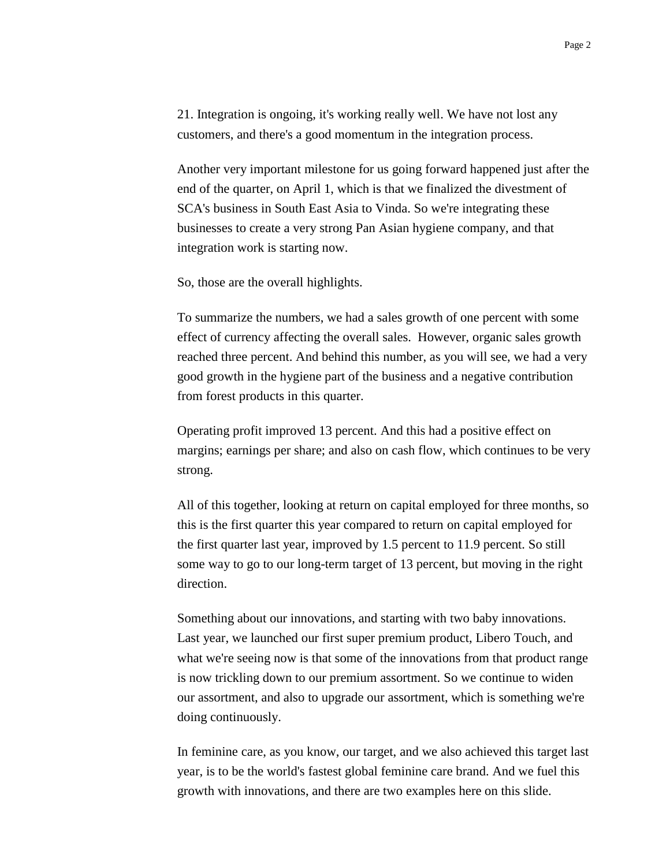21. Integration is ongoing, it's working really well. We have not lost any customers, and there's a good momentum in the integration process.

Another very important milestone for us going forward happened just after the end of the quarter, on April 1, which is that we finalized the divestment of SCA's business in South East Asia to Vinda. So we're integrating these businesses to create a very strong Pan Asian hygiene company, and that integration work is starting now.

So, those are the overall highlights.

To summarize the numbers, we had a sales growth of one percent with some effect of currency affecting the overall sales. However, organic sales growth reached three percent. And behind this number, as you will see, we had a very good growth in the hygiene part of the business and a negative contribution from forest products in this quarter.

Operating profit improved 13 percent. And this had a positive effect on margins; earnings per share; and also on cash flow, which continues to be very strong.

All of this together, looking at return on capital employed for three months, so this is the first quarter this year compared to return on capital employed for the first quarter last year, improved by 1.5 percent to 11.9 percent. So still some way to go to our long-term target of 13 percent, but moving in the right direction.

Something about our innovations, and starting with two baby innovations. Last year, we launched our first super premium product, Libero Touch, and what we're seeing now is that some of the innovations from that product range is now trickling down to our premium assortment. So we continue to widen our assortment, and also to upgrade our assortment, which is something we're doing continuously.

In feminine care, as you know, our target, and we also achieved this target last year, is to be the world's fastest global feminine care brand. And we fuel this growth with innovations, and there are two examples here on this slide.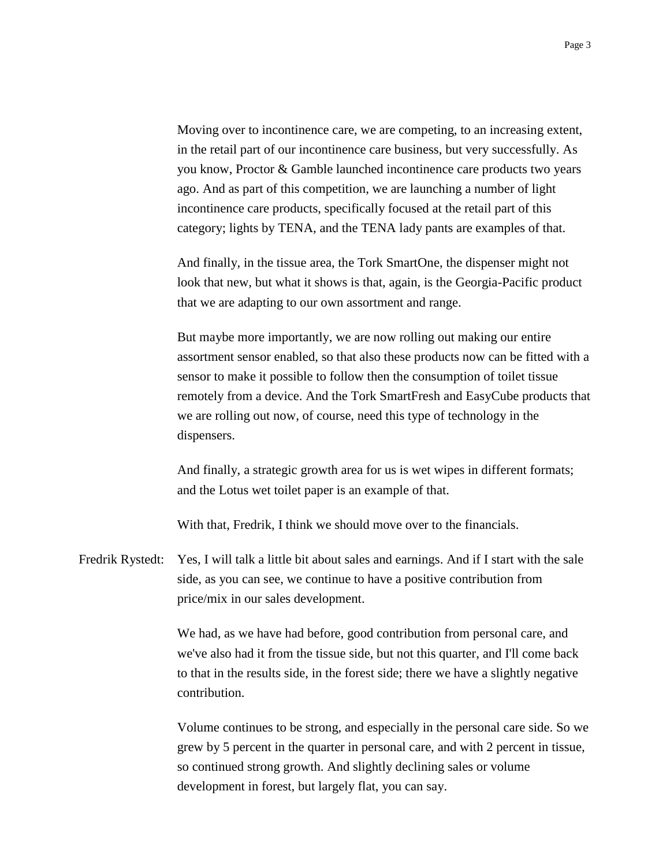Moving over to incontinence care, we are competing, to an increasing extent, in the retail part of our incontinence care business, but very successfully. As you know, Proctor & Gamble launched incontinence care products two years ago. And as part of this competition, we are launching a number of light incontinence care products, specifically focused at the retail part of this category; lights by TENA, and the TENA lady pants are examples of that.

And finally, in the tissue area, the Tork SmartOne, the dispenser might not look that new, but what it shows is that, again, is the Georgia-Pacific product that we are adapting to our own assortment and range.

But maybe more importantly, we are now rolling out making our entire assortment sensor enabled, so that also these products now can be fitted with a sensor to make it possible to follow then the consumption of toilet tissue remotely from a device. And the Tork SmartFresh and EasyCube products that we are rolling out now, of course, need this type of technology in the dispensers.

And finally, a strategic growth area for us is wet wipes in different formats; and the Lotus wet toilet paper is an example of that.

With that, Fredrik, I think we should move over to the financials.

Fredrik Rystedt: Yes, I will talk a little bit about sales and earnings. And if I start with the sale side, as you can see, we continue to have a positive contribution from price/mix in our sales development.

> We had, as we have had before, good contribution from personal care, and we've also had it from the tissue side, but not this quarter, and I'll come back to that in the results side, in the forest side; there we have a slightly negative contribution.

Volume continues to be strong, and especially in the personal care side. So we grew by 5 percent in the quarter in personal care, and with 2 percent in tissue, so continued strong growth. And slightly declining sales or volume development in forest, but largely flat, you can say.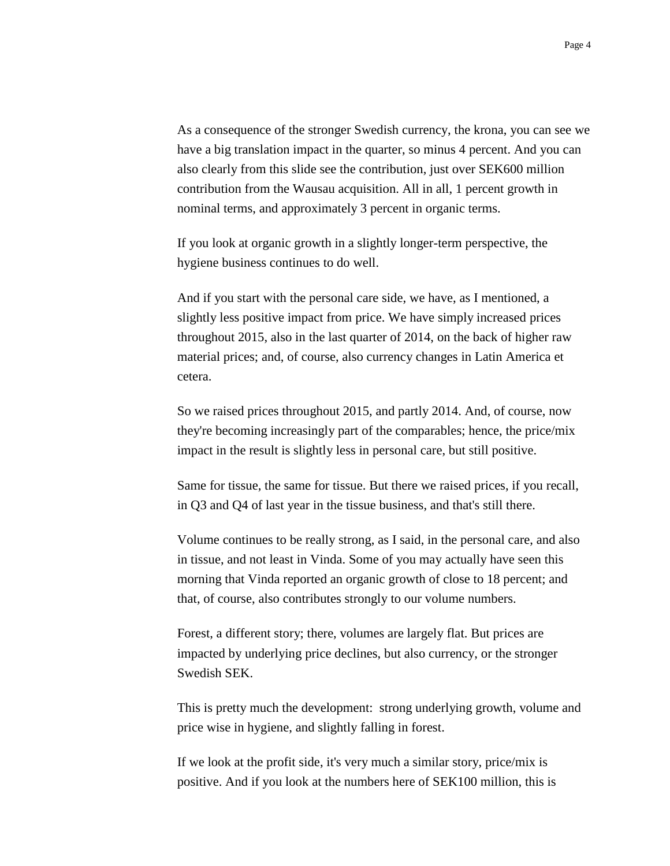As a consequence of the stronger Swedish currency, the krona, you can see we have a big translation impact in the quarter, so minus 4 percent. And you can also clearly from this slide see the contribution, just over SEK600 million contribution from the Wausau acquisition. All in all, 1 percent growth in nominal terms, and approximately 3 percent in organic terms.

If you look at organic growth in a slightly longer-term perspective, the hygiene business continues to do well.

And if you start with the personal care side, we have, as I mentioned, a slightly less positive impact from price. We have simply increased prices throughout 2015, also in the last quarter of 2014, on the back of higher raw material prices; and, of course, also currency changes in Latin America et cetera.

So we raised prices throughout 2015, and partly 2014. And, of course, now they're becoming increasingly part of the comparables; hence, the price/mix impact in the result is slightly less in personal care, but still positive.

Same for tissue, the same for tissue. But there we raised prices, if you recall, in Q3 and Q4 of last year in the tissue business, and that's still there.

Volume continues to be really strong, as I said, in the personal care, and also in tissue, and not least in Vinda. Some of you may actually have seen this morning that Vinda reported an organic growth of close to 18 percent; and that, of course, also contributes strongly to our volume numbers.

Forest, a different story; there, volumes are largely flat. But prices are impacted by underlying price declines, but also currency, or the stronger Swedish SEK.

This is pretty much the development: strong underlying growth, volume and price wise in hygiene, and slightly falling in forest.

If we look at the profit side, it's very much a similar story, price/mix is positive. And if you look at the numbers here of SEK100 million, this is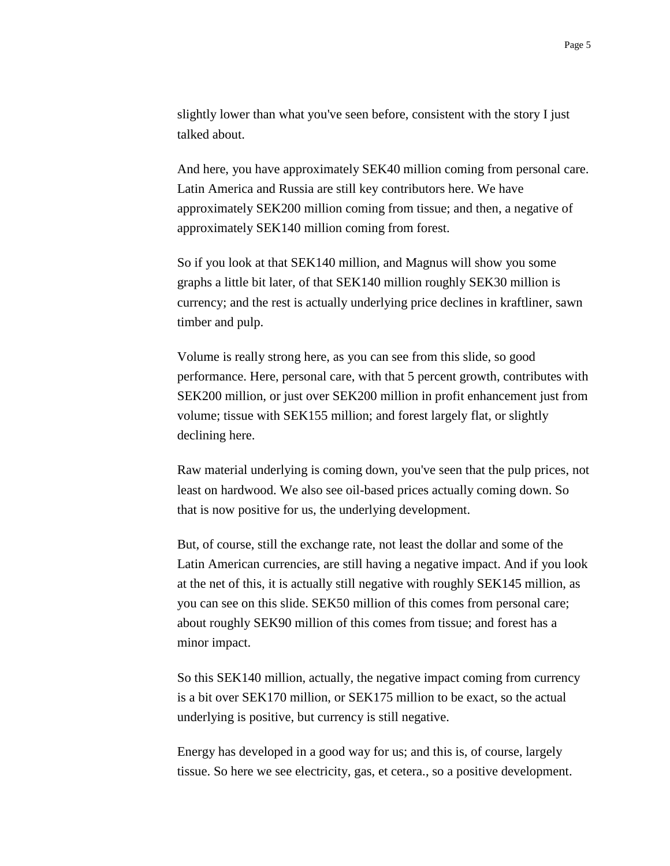slightly lower than what you've seen before, consistent with the story I just talked about.

And here, you have approximately SEK40 million coming from personal care. Latin America and Russia are still key contributors here. We have approximately SEK200 million coming from tissue; and then, a negative of approximately SEK140 million coming from forest.

So if you look at that SEK140 million, and Magnus will show you some graphs a little bit later, of that SEK140 million roughly SEK30 million is currency; and the rest is actually underlying price declines in kraftliner, sawn timber and pulp.

Volume is really strong here, as you can see from this slide, so good performance. Here, personal care, with that 5 percent growth, contributes with SEK200 million, or just over SEK200 million in profit enhancement just from volume; tissue with SEK155 million; and forest largely flat, or slightly declining here.

Raw material underlying is coming down, you've seen that the pulp prices, not least on hardwood. We also see oil-based prices actually coming down. So that is now positive for us, the underlying development.

But, of course, still the exchange rate, not least the dollar and some of the Latin American currencies, are still having a negative impact. And if you look at the net of this, it is actually still negative with roughly SEK145 million, as you can see on this slide. SEK50 million of this comes from personal care; about roughly SEK90 million of this comes from tissue; and forest has a minor impact.

So this SEK140 million, actually, the negative impact coming from currency is a bit over SEK170 million, or SEK175 million to be exact, so the actual underlying is positive, but currency is still negative.

Energy has developed in a good way for us; and this is, of course, largely tissue. So here we see electricity, gas, et cetera., so a positive development.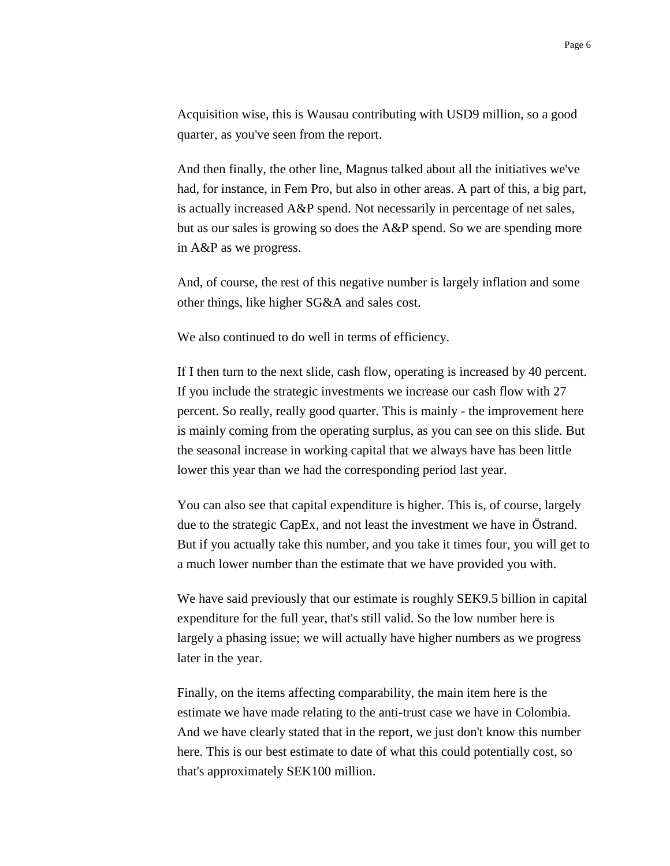Acquisition wise, this is Wausau contributing with USD9 million, so a good quarter, as you've seen from the report.

And then finally, the other line, Magnus talked about all the initiatives we've had, for instance, in Fem Pro, but also in other areas. A part of this, a big part, is actually increased A&P spend. Not necessarily in percentage of net sales, but as our sales is growing so does the A&P spend. So we are spending more in A&P as we progress.

And, of course, the rest of this negative number is largely inflation and some other things, like higher SG&A and sales cost.

We also continued to do well in terms of efficiency.

If I then turn to the next slide, cash flow, operating is increased by 40 percent. If you include the strategic investments we increase our cash flow with 27 percent. So really, really good quarter. This is mainly - the improvement here is mainly coming from the operating surplus, as you can see on this slide. But the seasonal increase in working capital that we always have has been little lower this year than we had the corresponding period last year.

You can also see that capital expenditure is higher. This is, of course, largely due to the strategic CapEx, and not least the investment we have in Östrand. But if you actually take this number, and you take it times four, you will get to a much lower number than the estimate that we have provided you with.

We have said previously that our estimate is roughly SEK9.5 billion in capital expenditure for the full year, that's still valid. So the low number here is largely a phasing issue; we will actually have higher numbers as we progress later in the year.

Finally, on the items affecting comparability, the main item here is the estimate we have made relating to the anti-trust case we have in Colombia. And we have clearly stated that in the report, we just don't know this number here. This is our best estimate to date of what this could potentially cost, so that's approximately SEK100 million.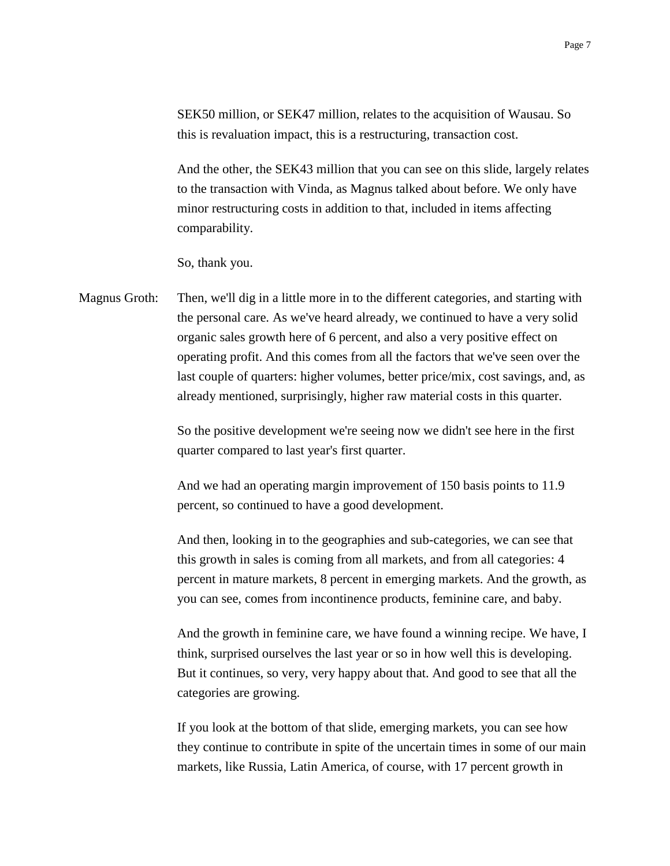SEK50 million, or SEK47 million, relates to the acquisition of Wausau. So this is revaluation impact, this is a restructuring, transaction cost.

And the other, the SEK43 million that you can see on this slide, largely relates to the transaction with Vinda, as Magnus talked about before. We only have minor restructuring costs in addition to that, included in items affecting comparability.

So, thank you.

Magnus Groth: Then, we'll dig in a little more in to the different categories, and starting with the personal care. As we've heard already, we continued to have a very solid organic sales growth here of 6 percent, and also a very positive effect on operating profit. And this comes from all the factors that we've seen over the last couple of quarters: higher volumes, better price/mix, cost savings, and, as already mentioned, surprisingly, higher raw material costs in this quarter.

> So the positive development we're seeing now we didn't see here in the first quarter compared to last year's first quarter.

And we had an operating margin improvement of 150 basis points to 11.9 percent, so continued to have a good development.

And then, looking in to the geographies and sub-categories, we can see that this growth in sales is coming from all markets, and from all categories: 4 percent in mature markets, 8 percent in emerging markets. And the growth, as you can see, comes from incontinence products, feminine care, and baby.

And the growth in feminine care, we have found a winning recipe. We have, I think, surprised ourselves the last year or so in how well this is developing. But it continues, so very, very happy about that. And good to see that all the categories are growing.

If you look at the bottom of that slide, emerging markets, you can see how they continue to contribute in spite of the uncertain times in some of our main markets, like Russia, Latin America, of course, with 17 percent growth in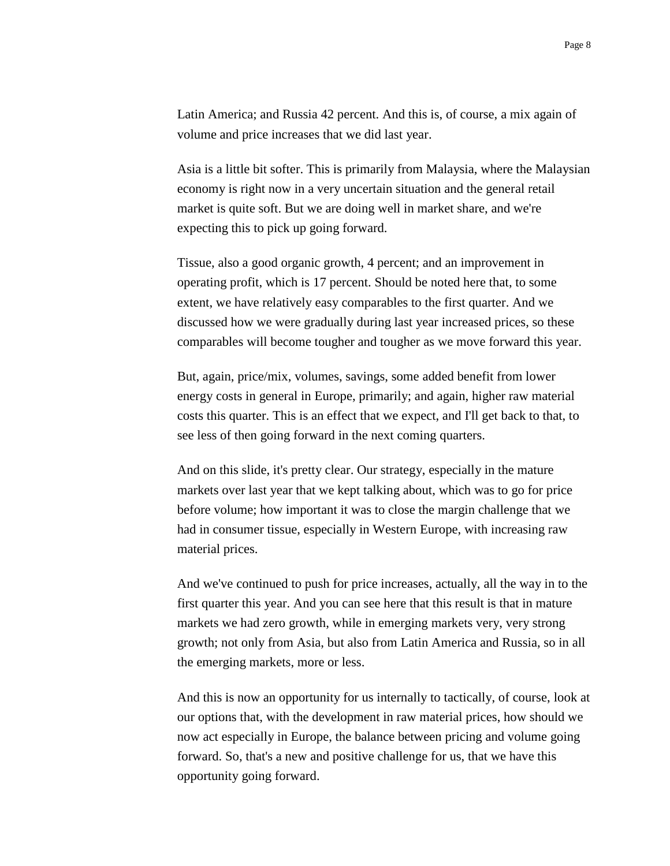Latin America; and Russia 42 percent. And this is, of course, a mix again of volume and price increases that we did last year.

Asia is a little bit softer. This is primarily from Malaysia, where the Malaysian economy is right now in a very uncertain situation and the general retail market is quite soft. But we are doing well in market share, and we're expecting this to pick up going forward.

Tissue, also a good organic growth, 4 percent; and an improvement in operating profit, which is 17 percent. Should be noted here that, to some extent, we have relatively easy comparables to the first quarter. And we discussed how we were gradually during last year increased prices, so these comparables will become tougher and tougher as we move forward this year.

But, again, price/mix, volumes, savings, some added benefit from lower energy costs in general in Europe, primarily; and again, higher raw material costs this quarter. This is an effect that we expect, and I'll get back to that, to see less of then going forward in the next coming quarters.

And on this slide, it's pretty clear. Our strategy, especially in the mature markets over last year that we kept talking about, which was to go for price before volume; how important it was to close the margin challenge that we had in consumer tissue, especially in Western Europe, with increasing raw material prices.

And we've continued to push for price increases, actually, all the way in to the first quarter this year. And you can see here that this result is that in mature markets we had zero growth, while in emerging markets very, very strong growth; not only from Asia, but also from Latin America and Russia, so in all the emerging markets, more or less.

And this is now an opportunity for us internally to tactically, of course, look at our options that, with the development in raw material prices, how should we now act especially in Europe, the balance between pricing and volume going forward. So, that's a new and positive challenge for us, that we have this opportunity going forward.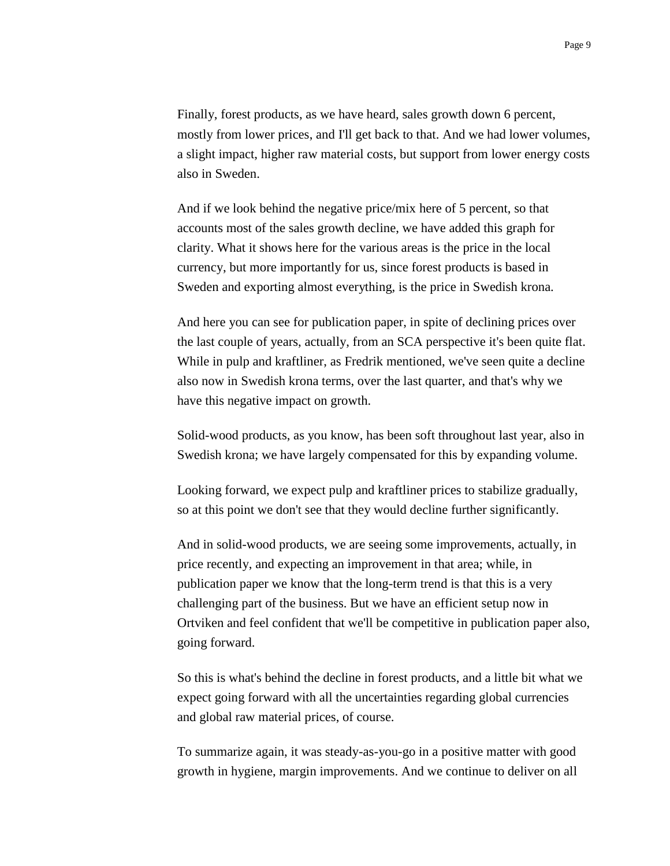Finally, forest products, as we have heard, sales growth down 6 percent, mostly from lower prices, and I'll get back to that. And we had lower volumes, a slight impact, higher raw material costs, but support from lower energy costs also in Sweden.

And if we look behind the negative price/mix here of 5 percent, so that accounts most of the sales growth decline, we have added this graph for clarity. What it shows here for the various areas is the price in the local currency, but more importantly for us, since forest products is based in Sweden and exporting almost everything, is the price in Swedish krona.

And here you can see for publication paper, in spite of declining prices over the last couple of years, actually, from an SCA perspective it's been quite flat. While in pulp and kraftliner, as Fredrik mentioned, we've seen quite a decline also now in Swedish krona terms, over the last quarter, and that's why we have this negative impact on growth.

Solid-wood products, as you know, has been soft throughout last year, also in Swedish krona; we have largely compensated for this by expanding volume.

Looking forward, we expect pulp and kraftliner prices to stabilize gradually, so at this point we don't see that they would decline further significantly.

And in solid-wood products, we are seeing some improvements, actually, in price recently, and expecting an improvement in that area; while, in publication paper we know that the long-term trend is that this is a very challenging part of the business. But we have an efficient setup now in Ortviken and feel confident that we'll be competitive in publication paper also, going forward.

So this is what's behind the decline in forest products, and a little bit what we expect going forward with all the uncertainties regarding global currencies and global raw material prices, of course.

To summarize again, it was steady-as-you-go in a positive matter with good growth in hygiene, margin improvements. And we continue to deliver on all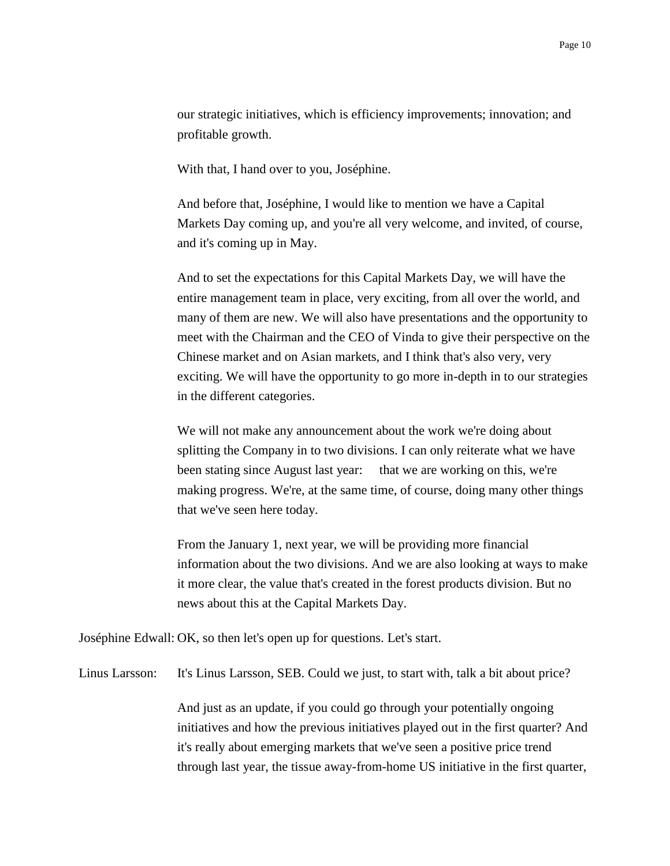our strategic initiatives, which is efficiency improvements; innovation; and profitable growth.

With that, I hand over to you, Joséphine.

And before that, Joséphine, I would like to mention we have a Capital Markets Day coming up, and you're all very welcome, and invited, of course, and it's coming up in May.

And to set the expectations for this Capital Markets Day, we will have the entire management team in place, very exciting, from all over the world, and many of them are new. We will also have presentations and the opportunity to meet with the Chairman and the CEO of Vinda to give their perspective on the Chinese market and on Asian markets, and I think that's also very, very exciting. We will have the opportunity to go more in-depth in to our strategies in the different categories.

We will not make any announcement about the work we're doing about splitting the Company in to two divisions. I can only reiterate what we have been stating since August last year: that we are working on this, we're making progress. We're, at the same time, of course, doing many other things that we've seen here today.

From the January 1, next year, we will be providing more financial information about the two divisions. And we are also looking at ways to make it more clear, the value that's created in the forest products division. But no news about this at the Capital Markets Day.

Joséphine Edwall: OK, so then let's open up for questions. Let's start.

Linus Larsson: It's Linus Larsson, SEB. Could we just, to start with, talk a bit about price?

And just as an update, if you could go through your potentially ongoing initiatives and how the previous initiatives played out in the first quarter? And it's really about emerging markets that we've seen a positive price trend through last year, the tissue away-from-home US initiative in the first quarter,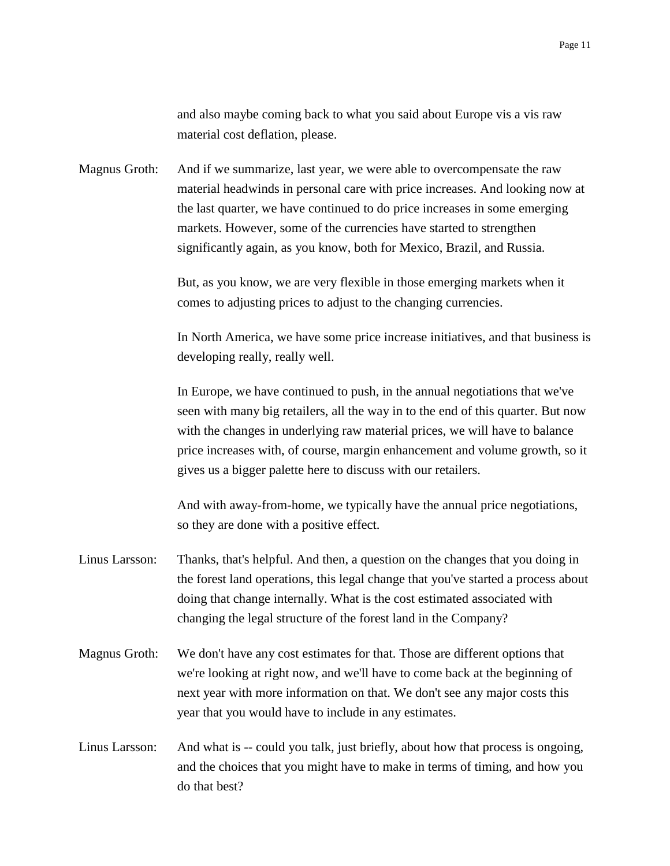and also maybe coming back to what you said about Europe vis a vis raw material cost deflation, please.

Magnus Groth: And if we summarize, last year, we were able to overcompensate the raw material headwinds in personal care with price increases. And looking now at the last quarter, we have continued to do price increases in some emerging markets. However, some of the currencies have started to strengthen significantly again, as you know, both for Mexico, Brazil, and Russia.

> But, as you know, we are very flexible in those emerging markets when it comes to adjusting prices to adjust to the changing currencies.

In North America, we have some price increase initiatives, and that business is developing really, really well.

In Europe, we have continued to push, in the annual negotiations that we've seen with many big retailers, all the way in to the end of this quarter. But now with the changes in underlying raw material prices, we will have to balance price increases with, of course, margin enhancement and volume growth, so it gives us a bigger palette here to discuss with our retailers.

And with away-from-home, we typically have the annual price negotiations, so they are done with a positive effect.

- Linus Larsson: Thanks, that's helpful. And then, a question on the changes that you doing in the forest land operations, this legal change that you've started a process about doing that change internally. What is the cost estimated associated with changing the legal structure of the forest land in the Company?
- Magnus Groth: We don't have any cost estimates for that. Those are different options that we're looking at right now, and we'll have to come back at the beginning of next year with more information on that. We don't see any major costs this year that you would have to include in any estimates.
- Linus Larsson: And what is -- could you talk, just briefly, about how that process is ongoing, and the choices that you might have to make in terms of timing, and how you do that best?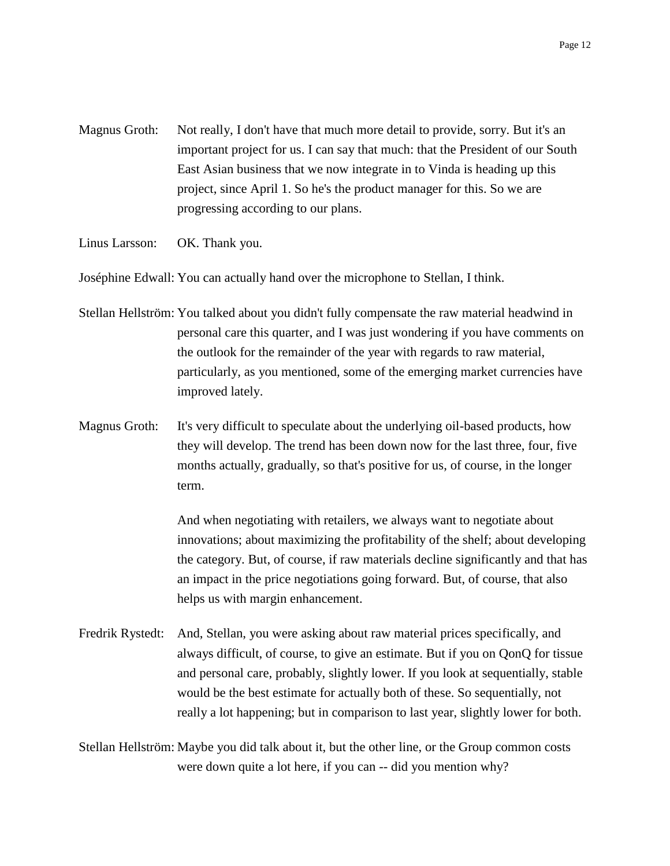- Magnus Groth: Not really, I don't have that much more detail to provide, sorry. But it's an important project for us. I can say that much: that the President of our South East Asian business that we now integrate in to Vinda is heading up this project, since April 1. So he's the product manager for this. So we are progressing according to our plans.
- Linus Larsson: OK. Thank you.

Joséphine Edwall: You can actually hand over the microphone to Stellan, I think.

- Stellan Hellström: You talked about you didn't fully compensate the raw material headwind in personal care this quarter, and I was just wondering if you have comments on the outlook for the remainder of the year with regards to raw material, particularly, as you mentioned, some of the emerging market currencies have improved lately.
- Magnus Groth: It's very difficult to speculate about the underlying oil-based products, how they will develop. The trend has been down now for the last three, four, five months actually, gradually, so that's positive for us, of course, in the longer term.

And when negotiating with retailers, we always want to negotiate about innovations; about maximizing the profitability of the shelf; about developing the category. But, of course, if raw materials decline significantly and that has an impact in the price negotiations going forward. But, of course, that also helps us with margin enhancement.

Fredrik Rystedt: And, Stellan, you were asking about raw material prices specifically, and always difficult, of course, to give an estimate. But if you on QonQ for tissue and personal care, probably, slightly lower. If you look at sequentially, stable would be the best estimate for actually both of these. So sequentially, not really a lot happening; but in comparison to last year, slightly lower for both.

Stellan Hellström: Maybe you did talk about it, but the other line, or the Group common costs were down quite a lot here, if you can -- did you mention why?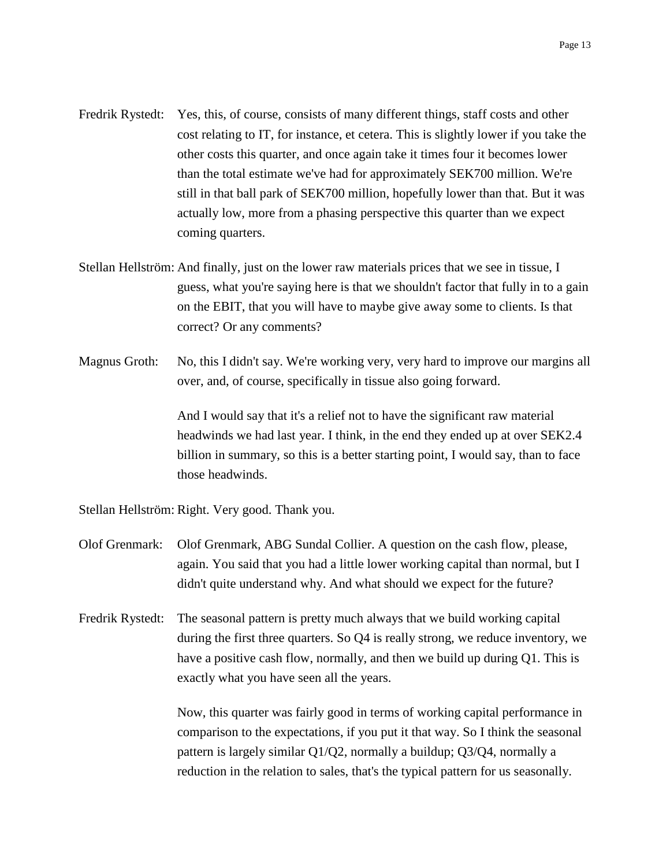- Fredrik Rystedt: Yes, this, of course, consists of many different things, staff costs and other cost relating to IT, for instance, et cetera. This is slightly lower if you take the other costs this quarter, and once again take it times four it becomes lower than the total estimate we've had for approximately SEK700 million. We're still in that ball park of SEK700 million, hopefully lower than that. But it was actually low, more from a phasing perspective this quarter than we expect coming quarters.
- Stellan Hellström: And finally, just on the lower raw materials prices that we see in tissue, I guess, what you're saying here is that we shouldn't factor that fully in to a gain on the EBIT, that you will have to maybe give away some to clients. Is that correct? Or any comments?
- Magnus Groth: No, this I didn't say. We're working very, very hard to improve our margins all over, and, of course, specifically in tissue also going forward.

And I would say that it's a relief not to have the significant raw material headwinds we had last year. I think, in the end they ended up at over SEK2.4 billion in summary, so this is a better starting point, I would say, than to face those headwinds.

Stellan Hellström: Right. Very good. Thank you.

- Olof Grenmark: Olof Grenmark, ABG Sundal Collier. A question on the cash flow, please, again. You said that you had a little lower working capital than normal, but I didn't quite understand why. And what should we expect for the future?
- Fredrik Rystedt: The seasonal pattern is pretty much always that we build working capital during the first three quarters. So Q4 is really strong, we reduce inventory, we have a positive cash flow, normally, and then we build up during Q1. This is exactly what you have seen all the years.

Now, this quarter was fairly good in terms of working capital performance in comparison to the expectations, if you put it that way. So I think the seasonal pattern is largely similar Q1/Q2, normally a buildup; Q3/Q4, normally a reduction in the relation to sales, that's the typical pattern for us seasonally.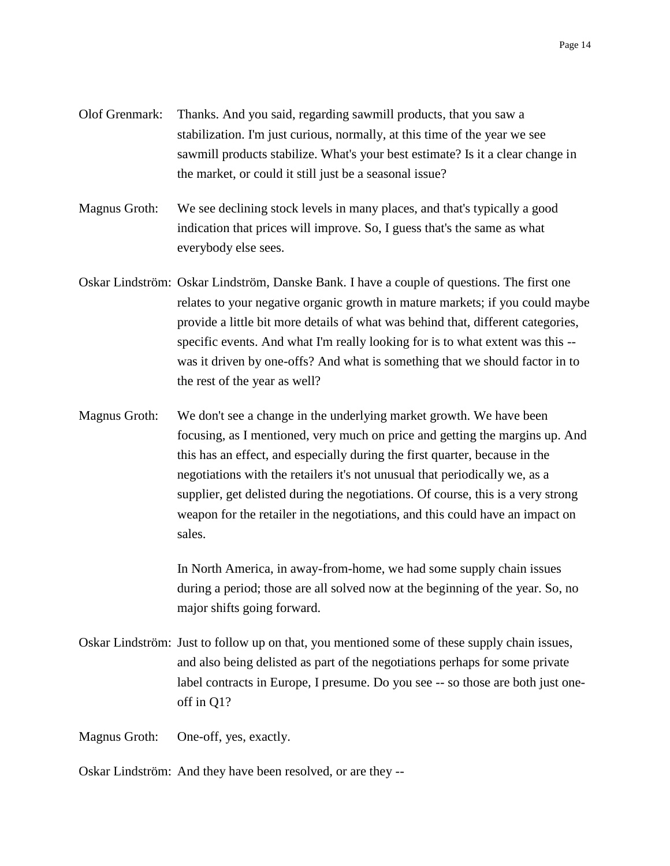- Olof Grenmark: Thanks. And you said, regarding sawmill products, that you saw a stabilization. I'm just curious, normally, at this time of the year we see sawmill products stabilize. What's your best estimate? Is it a clear change in the market, or could it still just be a seasonal issue?
- Magnus Groth: We see declining stock levels in many places, and that's typically a good indication that prices will improve. So, I guess that's the same as what everybody else sees.
- Oskar Lindström: Oskar Lindström, Danske Bank. I have a couple of questions. The first one relates to your negative organic growth in mature markets; if you could maybe provide a little bit more details of what was behind that, different categories, specific events. And what I'm really looking for is to what extent was this - was it driven by one-offs? And what is something that we should factor in to the rest of the year as well?
- Magnus Groth: We don't see a change in the underlying market growth. We have been focusing, as I mentioned, very much on price and getting the margins up. And this has an effect, and especially during the first quarter, because in the negotiations with the retailers it's not unusual that periodically we, as a supplier, get delisted during the negotiations. Of course, this is a very strong weapon for the retailer in the negotiations, and this could have an impact on sales.

In North America, in away-from-home, we had some supply chain issues during a period; those are all solved now at the beginning of the year. So, no major shifts going forward.

Oskar Lindström: Just to follow up on that, you mentioned some of these supply chain issues, and also being delisted as part of the negotiations perhaps for some private label contracts in Europe, I presume. Do you see -- so those are both just oneoff in Q1?

Magnus Groth: One-off, yes, exactly.

Oskar Lindström: And they have been resolved, or are they --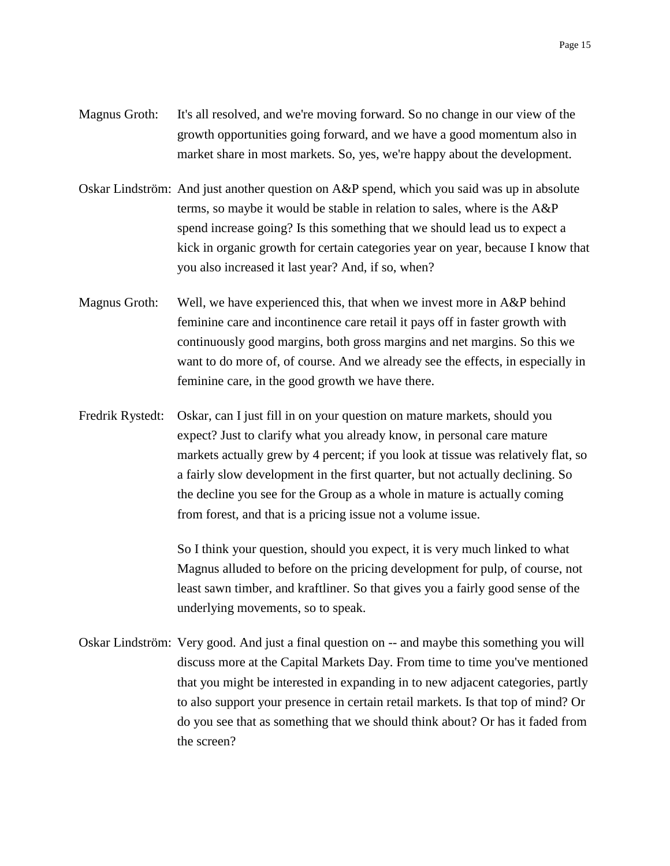- Magnus Groth: It's all resolved, and we're moving forward. So no change in our view of the growth opportunities going forward, and we have a good momentum also in market share in most markets. So, yes, we're happy about the development.
- Oskar Lindström: And just another question on A&P spend, which you said was up in absolute terms, so maybe it would be stable in relation to sales, where is the A&P spend increase going? Is this something that we should lead us to expect a kick in organic growth for certain categories year on year, because I know that you also increased it last year? And, if so, when?
- Magnus Groth: Well, we have experienced this, that when we invest more in A&P behind feminine care and incontinence care retail it pays off in faster growth with continuously good margins, both gross margins and net margins. So this we want to do more of, of course. And we already see the effects, in especially in feminine care, in the good growth we have there.
- Fredrik Rystedt: Oskar, can I just fill in on your question on mature markets, should you expect? Just to clarify what you already know, in personal care mature markets actually grew by 4 percent; if you look at tissue was relatively flat, so a fairly slow development in the first quarter, but not actually declining. So the decline you see for the Group as a whole in mature is actually coming from forest, and that is a pricing issue not a volume issue.

So I think your question, should you expect, it is very much linked to what Magnus alluded to before on the pricing development for pulp, of course, not least sawn timber, and kraftliner. So that gives you a fairly good sense of the underlying movements, so to speak.

Oskar Lindström: Very good. And just a final question on -- and maybe this something you will discuss more at the Capital Markets Day. From time to time you've mentioned that you might be interested in expanding in to new adjacent categories, partly to also support your presence in certain retail markets. Is that top of mind? Or do you see that as something that we should think about? Or has it faded from the screen?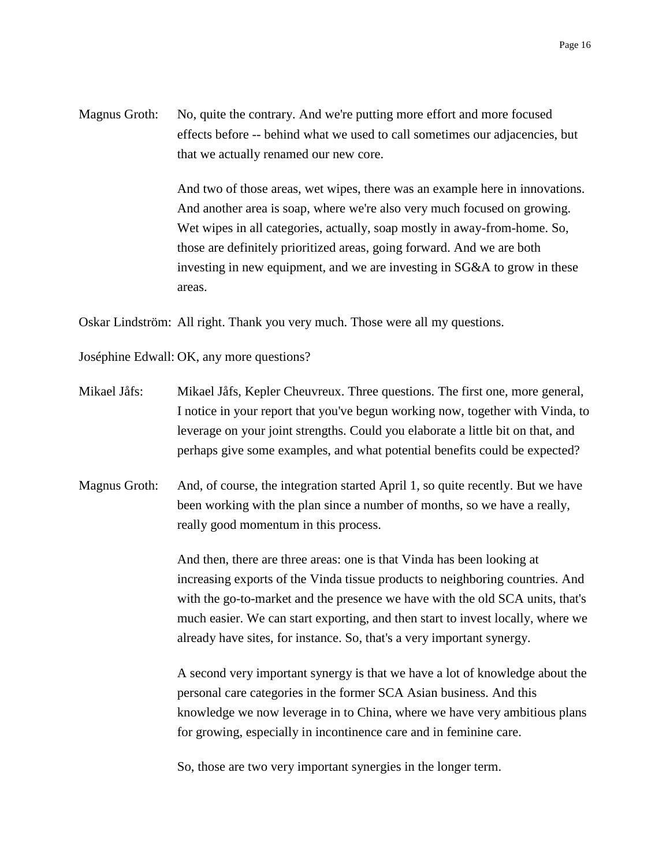Magnus Groth: No, quite the contrary. And we're putting more effort and more focused effects before -- behind what we used to call sometimes our adjacencies, but that we actually renamed our new core.

> And two of those areas, wet wipes, there was an example here in innovations. And another area is soap, where we're also very much focused on growing. Wet wipes in all categories, actually, soap mostly in away-from-home. So, those are definitely prioritized areas, going forward. And we are both investing in new equipment, and we are investing in SG&A to grow in these areas.

Oskar Lindström: All right. Thank you very much. Those were all my questions.

Joséphine Edwall: OK, any more questions?

- Mikael Jåfs: Mikael Jåfs, Kepler Cheuvreux. Three questions. The first one, more general, I notice in your report that you've begun working now, together with Vinda, to leverage on your joint strengths. Could you elaborate a little bit on that, and perhaps give some examples, and what potential benefits could be expected?
- Magnus Groth: And, of course, the integration started April 1, so quite recently. But we have been working with the plan since a number of months, so we have a really, really good momentum in this process.

And then, there are three areas: one is that Vinda has been looking at increasing exports of the Vinda tissue products to neighboring countries. And with the go-to-market and the presence we have with the old SCA units, that's much easier. We can start exporting, and then start to invest locally, where we already have sites, for instance. So, that's a very important synergy.

A second very important synergy is that we have a lot of knowledge about the personal care categories in the former SCA Asian business. And this knowledge we now leverage in to China, where we have very ambitious plans for growing, especially in incontinence care and in feminine care.

So, those are two very important synergies in the longer term.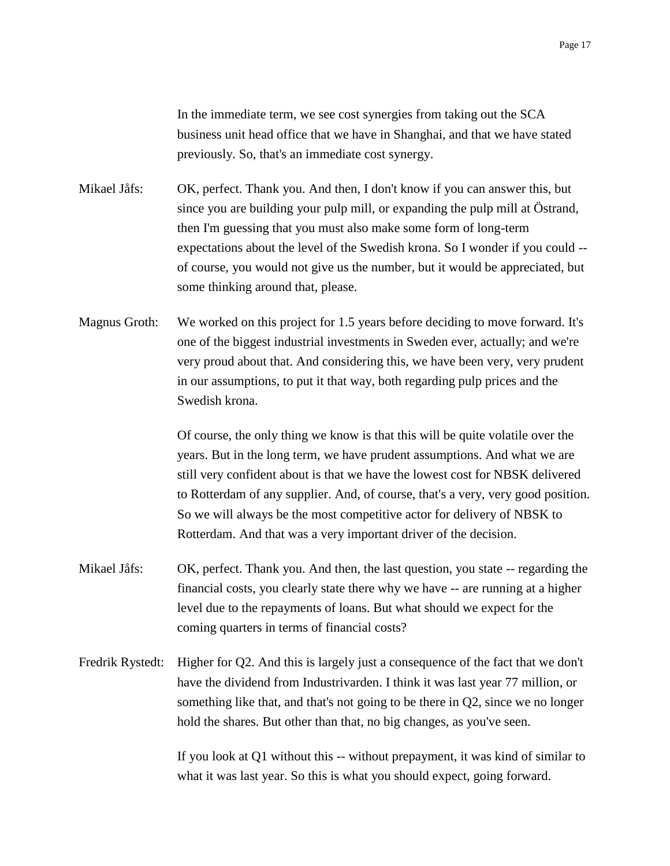In the immediate term, we see cost synergies from taking out the SCA business unit head office that we have in Shanghai, and that we have stated previously. So, that's an immediate cost synergy.

Mikael Jåfs: OK, perfect. Thank you. And then, I don't know if you can answer this, but since you are building your pulp mill, or expanding the pulp mill at Östrand, then I'm guessing that you must also make some form of long-term expectations about the level of the Swedish krona. So I wonder if you could - of course, you would not give us the number, but it would be appreciated, but some thinking around that, please.

Magnus Groth: We worked on this project for 1.5 years before deciding to move forward. It's one of the biggest industrial investments in Sweden ever, actually; and we're very proud about that. And considering this, we have been very, very prudent in our assumptions, to put it that way, both regarding pulp prices and the Swedish krona.

> Of course, the only thing we know is that this will be quite volatile over the years. But in the long term, we have prudent assumptions. And what we are still very confident about is that we have the lowest cost for NBSK delivered to Rotterdam of any supplier. And, of course, that's a very, very good position. So we will always be the most competitive actor for delivery of NBSK to Rotterdam. And that was a very important driver of the decision.

- Mikael Jåfs: OK, perfect. Thank you. And then, the last question, you state -- regarding the financial costs, you clearly state there why we have -- are running at a higher level due to the repayments of loans. But what should we expect for the coming quarters in terms of financial costs?
- Fredrik Rystedt: Higher for Q2. And this is largely just a consequence of the fact that we don't have the dividend from Industrivarden. I think it was last year 77 million, or something like that, and that's not going to be there in Q2, since we no longer hold the shares. But other than that, no big changes, as you've seen.

If you look at Q1 without this -- without prepayment, it was kind of similar to what it was last year. So this is what you should expect, going forward.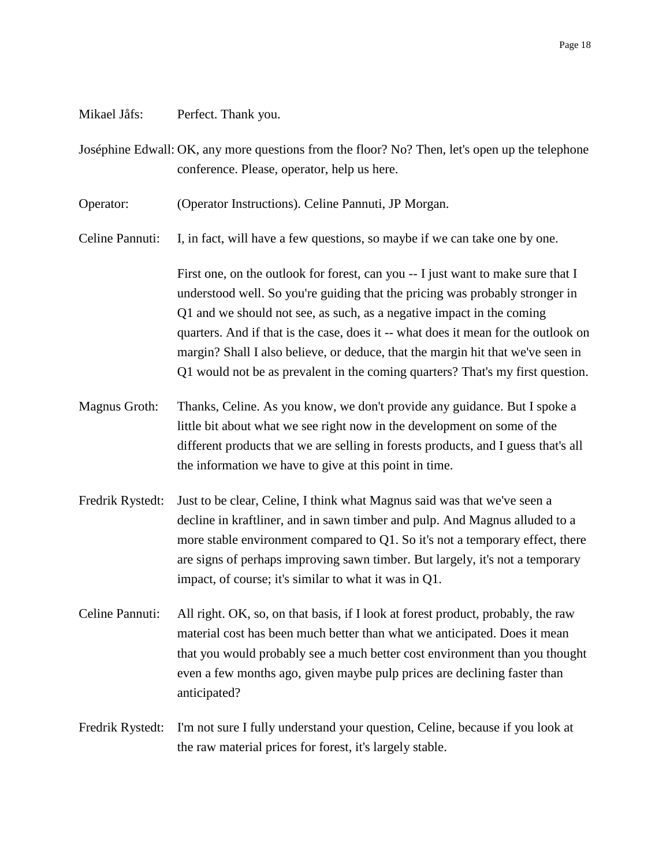## Mikael Jåfs: Perfect. Thank you.

Joséphine Edwall: OK, any more questions from the floor? No? Then, let's open up the telephone conference. Please, operator, help us here.

Operator: (Operator Instructions). Celine Pannuti, JP Morgan.

Celine Pannuti: I, in fact, will have a few questions, so maybe if we can take one by one.

First one, on the outlook for forest, can you -- I just want to make sure that I understood well. So you're guiding that the pricing was probably stronger in Q1 and we should not see, as such, as a negative impact in the coming quarters. And if that is the case, does it -- what does it mean for the outlook on margin? Shall I also believe, or deduce, that the margin hit that we've seen in Q1 would not be as prevalent in the coming quarters? That's my first question.

- Magnus Groth: Thanks, Celine. As you know, we don't provide any guidance. But I spoke a little bit about what we see right now in the development on some of the different products that we are selling in forests products, and I guess that's all the information we have to give at this point in time.
- Fredrik Rystedt: Just to be clear, Celine, I think what Magnus said was that we've seen a decline in kraftliner, and in sawn timber and pulp. And Magnus alluded to a more stable environment compared to Q1. So it's not a temporary effect, there are signs of perhaps improving sawn timber. But largely, it's not a temporary impact, of course; it's similar to what it was in Q1.
- Celine Pannuti: All right. OK, so, on that basis, if I look at forest product, probably, the raw material cost has been much better than what we anticipated. Does it mean that you would probably see a much better cost environment than you thought even a few months ago, given maybe pulp prices are declining faster than anticipated?
- Fredrik Rystedt: I'm not sure I fully understand your question, Celine, because if you look at the raw material prices for forest, it's largely stable.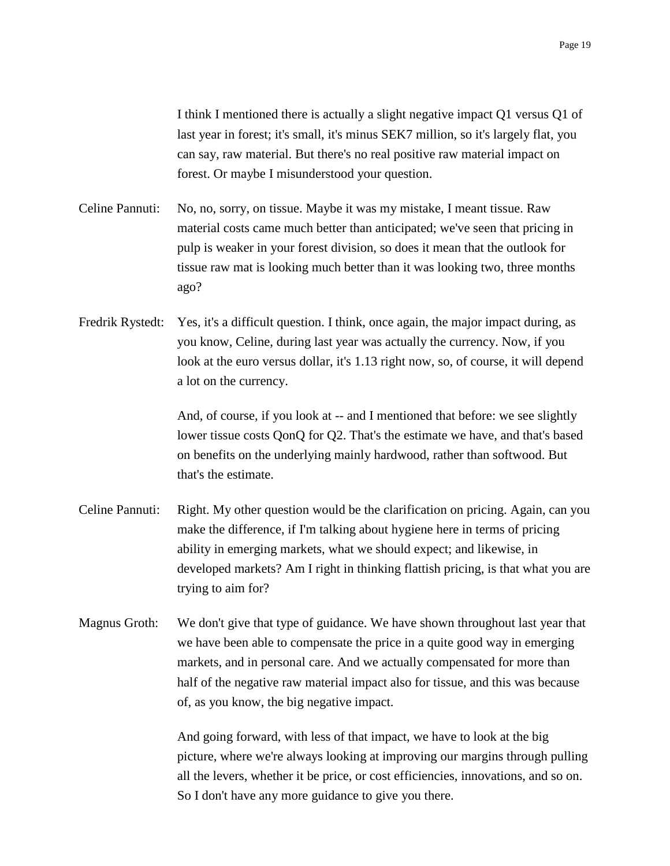I think I mentioned there is actually a slight negative impact Q1 versus Q1 of last year in forest; it's small, it's minus SEK7 million, so it's largely flat, you can say, raw material. But there's no real positive raw material impact on forest. Or maybe I misunderstood your question.

- Celine Pannuti: No, no, sorry, on tissue. Maybe it was my mistake, I meant tissue. Raw material costs came much better than anticipated; we've seen that pricing in pulp is weaker in your forest division, so does it mean that the outlook for tissue raw mat is looking much better than it was looking two, three months ago?
- Fredrik Rystedt: Yes, it's a difficult question. I think, once again, the major impact during, as you know, Celine, during last year was actually the currency. Now, if you look at the euro versus dollar, it's 1.13 right now, so, of course, it will depend a lot on the currency.

And, of course, if you look at -- and I mentioned that before: we see slightly lower tissue costs QonQ for Q2. That's the estimate we have, and that's based on benefits on the underlying mainly hardwood, rather than softwood. But that's the estimate.

- Celine Pannuti: Right. My other question would be the clarification on pricing. Again, can you make the difference, if I'm talking about hygiene here in terms of pricing ability in emerging markets, what we should expect; and likewise, in developed markets? Am I right in thinking flattish pricing, is that what you are trying to aim for?
- Magnus Groth: We don't give that type of guidance. We have shown throughout last year that we have been able to compensate the price in a quite good way in emerging markets, and in personal care. And we actually compensated for more than half of the negative raw material impact also for tissue, and this was because of, as you know, the big negative impact.

And going forward, with less of that impact, we have to look at the big picture, where we're always looking at improving our margins through pulling all the levers, whether it be price, or cost efficiencies, innovations, and so on. So I don't have any more guidance to give you there.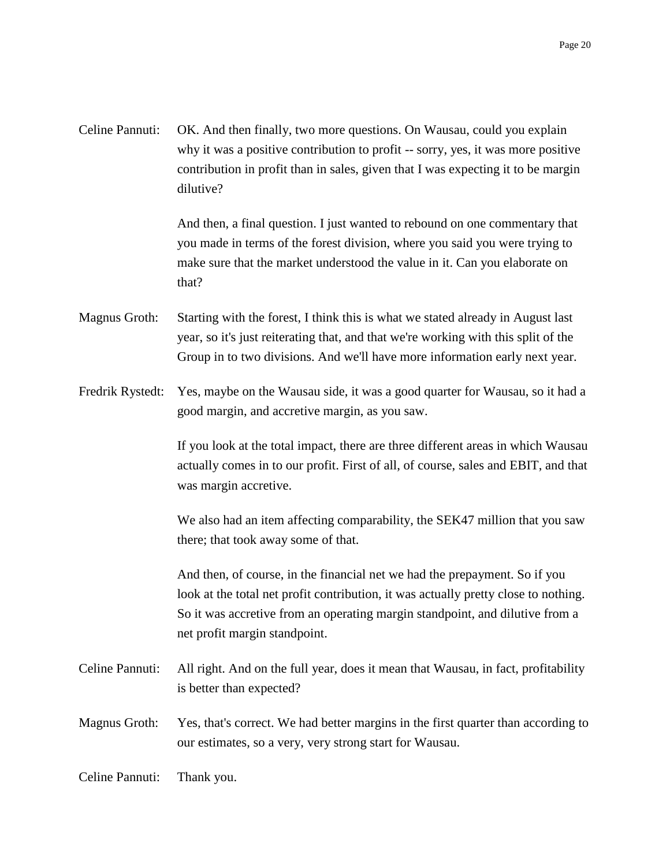| Celine Pannuti: OK. And then finally, two more questions. On Wausau, could you explain |
|----------------------------------------------------------------------------------------|
| why it was a positive contribution to profit -- sorry, yes, it was more positive       |
| contribution in profit than in sales, given that I was expecting it to be margin       |
| dilutive?                                                                              |

And then, a final question. I just wanted to rebound on one commentary that you made in terms of the forest division, where you said you were trying to make sure that the market understood the value in it. Can you elaborate on that?

- Magnus Groth: Starting with the forest, I think this is what we stated already in August last year, so it's just reiterating that, and that we're working with this split of the Group in to two divisions. And we'll have more information early next year.
- Fredrik Rystedt: Yes, maybe on the Wausau side, it was a good quarter for Wausau, so it had a good margin, and accretive margin, as you saw.

If you look at the total impact, there are three different areas in which Wausau actually comes in to our profit. First of all, of course, sales and EBIT, and that was margin accretive.

We also had an item affecting comparability, the SEK47 million that you saw there; that took away some of that.

And then, of course, in the financial net we had the prepayment. So if you look at the total net profit contribution, it was actually pretty close to nothing. So it was accretive from an operating margin standpoint, and dilutive from a net profit margin standpoint.

- Celine Pannuti: All right. And on the full year, does it mean that Wausau, in fact, profitability is better than expected?
- Magnus Groth: Yes, that's correct. We had better margins in the first quarter than according to our estimates, so a very, very strong start for Wausau.
- Celine Pannuti: Thank you.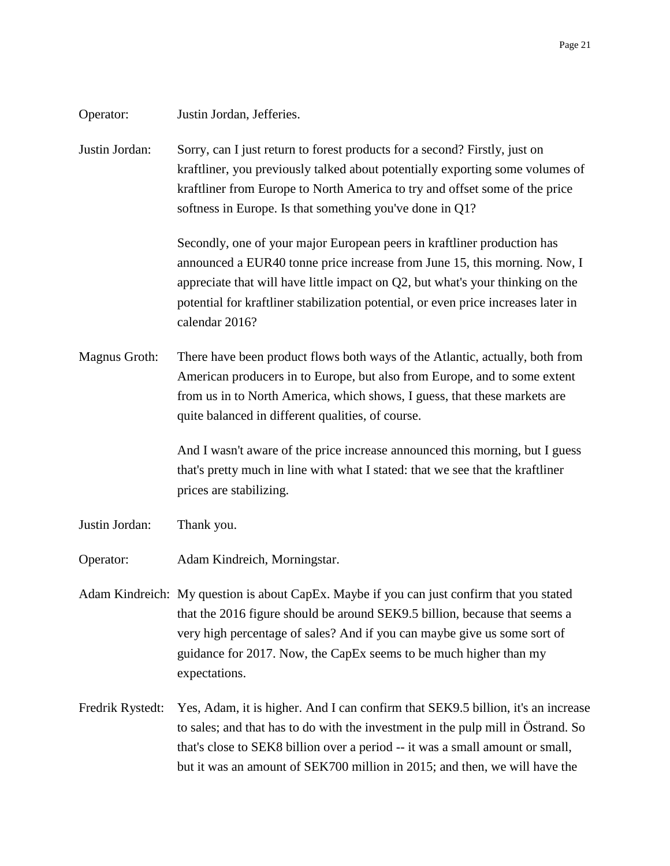| Operator:        | Justin Jordan, Jefferies.                                                                                                                                                                                                                                                                                                                         |
|------------------|---------------------------------------------------------------------------------------------------------------------------------------------------------------------------------------------------------------------------------------------------------------------------------------------------------------------------------------------------|
| Justin Jordan:   | Sorry, can I just return to forest products for a second? Firstly, just on<br>kraftliner, you previously talked about potentially exporting some volumes of<br>kraftliner from Europe to North America to try and offset some of the price<br>softness in Europe. Is that something you've done in Q1?                                            |
|                  | Secondly, one of your major European peers in kraftliner production has<br>announced a EUR40 tonne price increase from June 15, this morning. Now, I<br>appreciate that will have little impact on $Q2$ , but what's your thinking on the<br>potential for kraftliner stabilization potential, or even price increases later in<br>calendar 2016? |
| Magnus Groth:    | There have been product flows both ways of the Atlantic, actually, both from<br>American producers in to Europe, but also from Europe, and to some extent<br>from us in to North America, which shows, I guess, that these markets are<br>quite balanced in different qualities, of course.                                                       |
|                  | And I wasn't aware of the price increase announced this morning, but I guess<br>that's pretty much in line with what I stated: that we see that the kraftliner<br>prices are stabilizing.                                                                                                                                                         |
| Justin Jordan:   | Thank you.                                                                                                                                                                                                                                                                                                                                        |
| Operator:        | Adam Kindreich, Morningstar.                                                                                                                                                                                                                                                                                                                      |
|                  | Adam Kindreich: My question is about CapEx. Maybe if you can just confirm that you stated<br>that the 2016 figure should be around SEK9.5 billion, because that seems a<br>very high percentage of sales? And if you can maybe give us some sort of<br>guidance for 2017. Now, the CapEx seems to be much higher than my<br>expectations.         |
| Fredrik Rystedt: | Yes, Adam, it is higher. And I can confirm that SEK9.5 billion, it's an increase<br>to sales; and that has to do with the investment in the pulp mill in Ostrand. So<br>that's close to SEK8 billion over a period -- it was a small amount or small,<br>but it was an amount of SEK700 million in 2015; and then, we will have the               |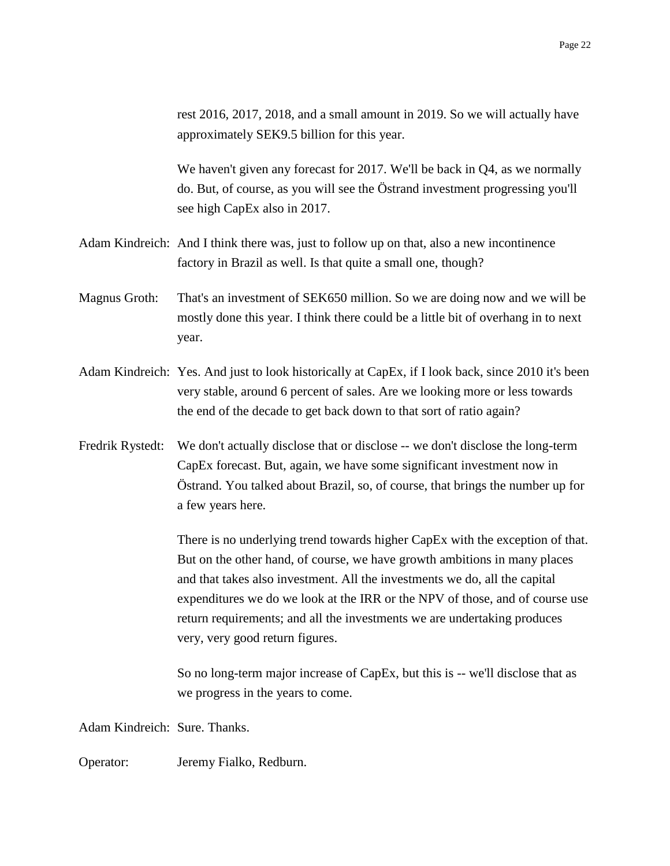rest 2016, 2017, 2018, and a small amount in 2019. So we will actually have approximately SEK9.5 billion for this year.

We haven't given any forecast for 2017. We'll be back in Q4, as we normally do. But, of course, as you will see the Östrand investment progressing you'll see high CapEx also in 2017.

- Adam Kindreich: And I think there was, just to follow up on that, also a new incontinence factory in Brazil as well. Is that quite a small one, though?
- Magnus Groth: That's an investment of SEK650 million. So we are doing now and we will be mostly done this year. I think there could be a little bit of overhang in to next year.
- Adam Kindreich: Yes. And just to look historically at CapEx, if I look back, since 2010 it's been very stable, around 6 percent of sales. Are we looking more or less towards the end of the decade to get back down to that sort of ratio again?
- Fredrik Rystedt: We don't actually disclose that or disclose -- we don't disclose the long-term CapEx forecast. But, again, we have some significant investment now in Östrand. You talked about Brazil, so, of course, that brings the number up for a few years here.

There is no underlying trend towards higher CapEx with the exception of that. But on the other hand, of course, we have growth ambitions in many places and that takes also investment. All the investments we do, all the capital expenditures we do we look at the IRR or the NPV of those, and of course use return requirements; and all the investments we are undertaking produces very, very good return figures.

So no long-term major increase of CapEx, but this is -- we'll disclose that as we progress in the years to come.

Adam Kindreich: Sure. Thanks.

Operator: Jeremy Fialko, Redburn.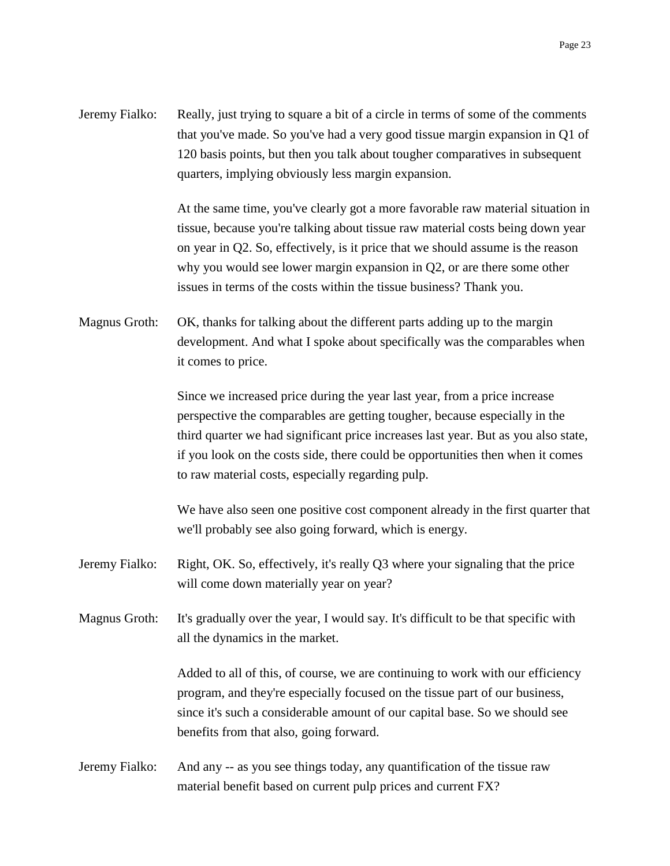Jeremy Fialko: Really, just trying to square a bit of a circle in terms of some of the comments that you've made. So you've had a very good tissue margin expansion in Q1 of 120 basis points, but then you talk about tougher comparatives in subsequent quarters, implying obviously less margin expansion.

> At the same time, you've clearly got a more favorable raw material situation in tissue, because you're talking about tissue raw material costs being down year on year in Q2. So, effectively, is it price that we should assume is the reason why you would see lower margin expansion in Q2, or are there some other issues in terms of the costs within the tissue business? Thank you.

Magnus Groth: OK, thanks for talking about the different parts adding up to the margin development. And what I spoke about specifically was the comparables when it comes to price.

> Since we increased price during the year last year, from a price increase perspective the comparables are getting tougher, because especially in the third quarter we had significant price increases last year. But as you also state, if you look on the costs side, there could be opportunities then when it comes to raw material costs, especially regarding pulp.

> We have also seen one positive cost component already in the first quarter that we'll probably see also going forward, which is energy.

- Jeremy Fialko: Right, OK. So, effectively, it's really Q3 where your signaling that the price will come down materially year on year?
- Magnus Groth: It's gradually over the year, I would say. It's difficult to be that specific with all the dynamics in the market.

Added to all of this, of course, we are continuing to work with our efficiency program, and they're especially focused on the tissue part of our business, since it's such a considerable amount of our capital base. So we should see benefits from that also, going forward.

Jeremy Fialko: And any -- as you see things today, any quantification of the tissue raw material benefit based on current pulp prices and current FX?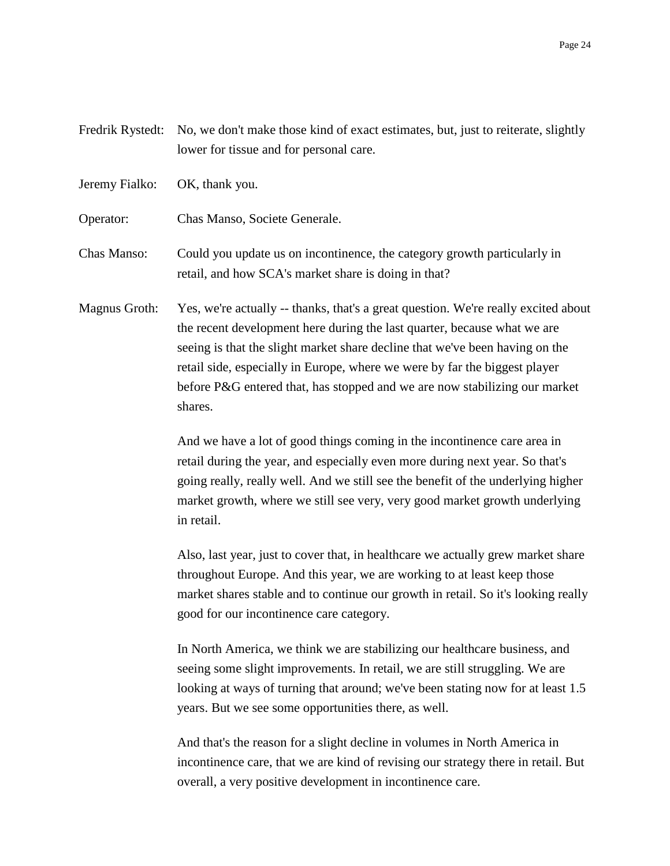Fredrik Rystedt: No, we don't make those kind of exact estimates, but, just to reiterate, slightly lower for tissue and for personal care.

Jeremy Fialko: OK, thank you.

Operator: Chas Manso, Societe Generale.

Chas Manso: Could you update us on incontinence, the category growth particularly in retail, and how SCA's market share is doing in that?

Magnus Groth: Yes, we're actually -- thanks, that's a great question. We're really excited about the recent development here during the last quarter, because what we are seeing is that the slight market share decline that we've been having on the retail side, especially in Europe, where we were by far the biggest player before P&G entered that, has stopped and we are now stabilizing our market shares.

> And we have a lot of good things coming in the incontinence care area in retail during the year, and especially even more during next year. So that's going really, really well. And we still see the benefit of the underlying higher market growth, where we still see very, very good market growth underlying in retail.

> Also, last year, just to cover that, in healthcare we actually grew market share throughout Europe. And this year, we are working to at least keep those market shares stable and to continue our growth in retail. So it's looking really good for our incontinence care category.

> In North America, we think we are stabilizing our healthcare business, and seeing some slight improvements. In retail, we are still struggling. We are looking at ways of turning that around; we've been stating now for at least 1.5 years. But we see some opportunities there, as well.

> And that's the reason for a slight decline in volumes in North America in incontinence care, that we are kind of revising our strategy there in retail. But overall, a very positive development in incontinence care.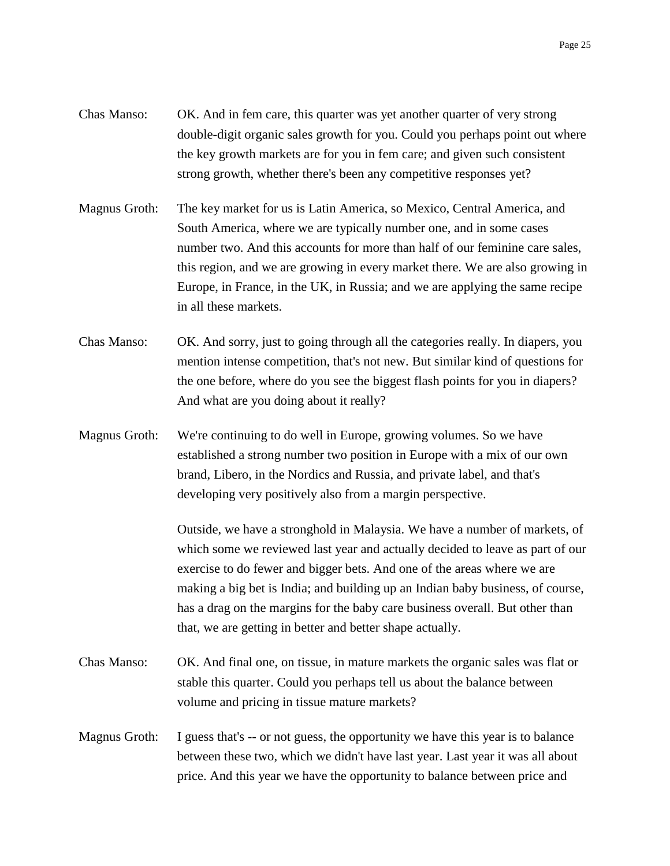- Chas Manso: OK. And in fem care, this quarter was yet another quarter of very strong double-digit organic sales growth for you. Could you perhaps point out where the key growth markets are for you in fem care; and given such consistent strong growth, whether there's been any competitive responses yet?
- Magnus Groth: The key market for us is Latin America, so Mexico, Central America, and South America, where we are typically number one, and in some cases number two. And this accounts for more than half of our feminine care sales, this region, and we are growing in every market there. We are also growing in Europe, in France, in the UK, in Russia; and we are applying the same recipe in all these markets.
- Chas Manso: OK. And sorry, just to going through all the categories really. In diapers, you mention intense competition, that's not new. But similar kind of questions for the one before, where do you see the biggest flash points for you in diapers? And what are you doing about it really?
- Magnus Groth: We're continuing to do well in Europe, growing volumes. So we have established a strong number two position in Europe with a mix of our own brand, Libero, in the Nordics and Russia, and private label, and that's developing very positively also from a margin perspective.

Outside, we have a stronghold in Malaysia. We have a number of markets, of which some we reviewed last year and actually decided to leave as part of our exercise to do fewer and bigger bets. And one of the areas where we are making a big bet is India; and building up an Indian baby business, of course, has a drag on the margins for the baby care business overall. But other than that, we are getting in better and better shape actually.

- Chas Manso: OK. And final one, on tissue, in mature markets the organic sales was flat or stable this quarter. Could you perhaps tell us about the balance between volume and pricing in tissue mature markets?
- Magnus Groth: I guess that's -- or not guess, the opportunity we have this year is to balance between these two, which we didn't have last year. Last year it was all about price. And this year we have the opportunity to balance between price and